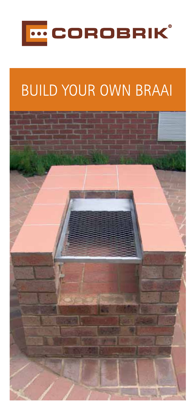

# **BUILD YOUR OWN BRAAI**

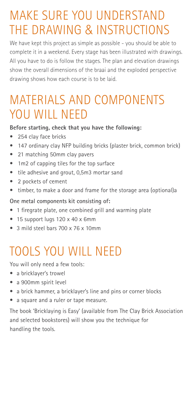### Make sure you understand the drawing & instructions

We have kept this project as simple as possible - you should be able to complete it in a weekend. Every stage has been illustrated with drawings. All you have to do is follow the stages. The plan and elevation drawings show the overall dimensions of the braai and the exploded perspective drawing shows how each course is to be laid.

### Materials and components YOU WILL NEED

#### **Before starting, check that you have the following:**

- 254 clay face bricks
- 147 ordinary clay NFP building bricks (plaster brick, common brick)
- 21 matching 50mm clay pavers
- 1m2 of capping tiles for the top surface
- tile adhesive and grout, 0,5m3 mortar sand
- • 2 pockets of cement
- timber, to make a door and frame for the storage area (optional)a

#### **One metal components kit consisting of:**

- 1 firegrate plate, one combined grill and warming plate
- 15 support lugs 120 x 40 x 6mm
- 3 mild steel bars 700 x 76 x 10mm

### Tools you will need

You will only need a few tools:

- a bricklayer's trowel
- a 900mm spirit level
- a brick hammer, a bricklayer's line and pins or corner blocks
- a square and a ruler or tape measure.

The book 'Bricklaying is Easy' (available from The Clay Brick Association and selected bookstores) will show you the technique for handling the tools.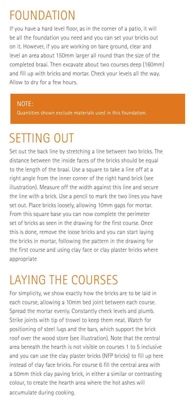### **FOUNDATION**

If you have a hard level floor, as in the corner of a patio, it will be all the foundation you need and you can set your bricks out on it. However, if you are working on bare ground, clear and level an area about 150mm larger all round than the size of the completed braai. Then excavate about two courses deep (160mm) and fill up with bricks and mortar. Check your levels all the way. Allow to dry for a few hours.

#### NOTE:

Quantities shown exclude materials used in this foundation.

# SFTTING OUT

Set out the back line by stretching a line between two bricks. The distance between the inside faces of the bricks should be equal to the length of the braai. Use a square to take a line off at a right angle from the inner corner of the right hand brick (see illustration). Measure off the width against this line and secure the line with a brick. Use a pencil to mark the two lines you have set out. Place bricks loosely, allowing 10mm gaps for mortar. From this square base you can now complete the perimeter set of bricks as seen in the drawing for the first course. Once this is done, remove the loose bricks and you can start laying the bricks in mortar, following the pattern in the drawing for the first course and using clay face or clay plaster bricks where appropriate

# Laying the courses

For simplicity, we show exactly how the bricks are to be laid in each course, allowing a 10mm bed joint between each course. Spread the mortar evenly. Constantly check levels and plumb. Strike joints with tip of trowel to keep them neat. Watch for positioning of steel lugs and the bars, which support the brick roof over the wood store (see illustration). Note that the central area beneath the hearth is not visible on courses 1 to 5 inclusive and you can use the clay plaster bricks (NFP bricks) to fill up here instead of clay face bricks. For course 6 fill the central area with a 50mm thick clay paving brick, in either a similar or contrasting colour, to create the hearth area where the hot ashes will accumulate during cooking.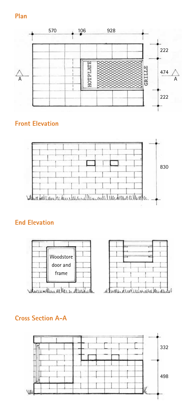#### **Plan**



#### **Front Elevation**



#### **End Elevation**



#### **Cross Section A-A**

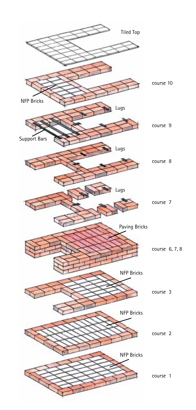